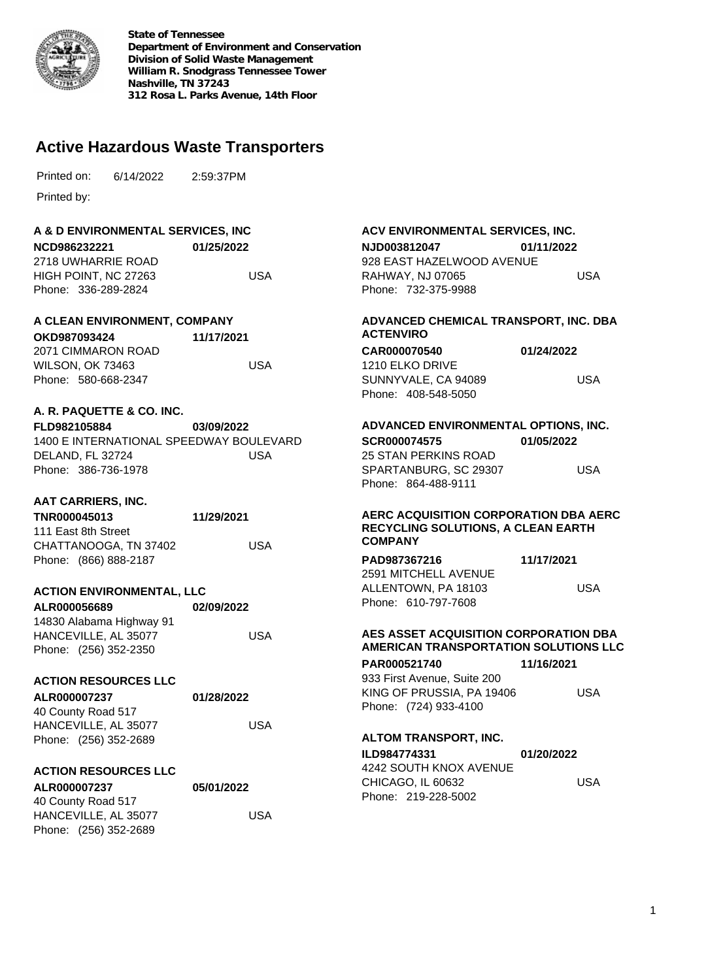

**State of Tennessee Department of Environment and Conservation Division of Solid Waste Management William R. Snodgrass Tennessee Tower Nashville, TN 37243 312 Rosa L. Parks Avenue, 14th Floor**

# **Active Hazardous Waste Transporters**

6/14/2022 Printed on: 2:59:37PM

Printed by:

#### **A & D ENVIRONMENTAL SERVICES, INC**

**NCD986232221** 2718 UWHARRIE ROAD HIGH POINT, NC 27263 Phone: 336-289-2824 **01/25/2022** USA

### **A CLEAN ENVIRONMENT, COMPANY**

| OKD987093424            | 11/17/2021 |
|-------------------------|------------|
| 2071 CIMMARON ROAD      |            |
| <b>WILSON, OK 73463</b> | USA        |
| Phone: 580-668-2347     |            |

#### **A. R. PAQUETTE & CO. INC.**

| <b>FLD982105884</b> | 03/09/2022                              |
|---------------------|-----------------------------------------|
|                     | 1400 E INTERNATIONAL SPEEDWAY BOULEVARD |
| DELAND. FL 32724    | USA                                     |
| Phone: 386-736-1978 |                                         |

### **AAT CARRIERS, INC.**

| TNR000045013          | 11/29/2021 |
|-----------------------|------------|
| 111 East 8th Street   |            |
| CHATTANOOGA, TN 37402 | USA        |
| Phone: (866) 888-2187 |            |

#### **ACTION ENVIRONMENTAL, LLC**

| ALR000056689             | 02/09/2022 |
|--------------------------|------------|
| 14830 Alabama Highway 91 |            |
| HANCEVILLE, AL 35077     | USA        |
| Phone: (256) 352-2350    |            |

#### **ACTION RESOURCES LLC**

| ALR000007237          | 01/28/2022 |  |
|-----------------------|------------|--|
| 40 County Road 517    |            |  |
| HANCEVILLE, AL 35077  | USA        |  |
| Phone: (256) 352-2689 |            |  |

#### **ACTION RESOURCES LLC**

| ALR000007237          | 05/01/2022 |
|-----------------------|------------|
| 40 County Road 517    |            |
| HANCEVILLE, AL 35077  | USA        |
| Phone: (256) 352-2689 |            |

#### **ACV ENVIRONMENTAL SERVICES, INC. NJD003812047** 928 EAST HAZELWOOD AVENUE RAHWAY, NJ 07065 Phone: 732-375-9988 **01/11/2022** USA

#### **ADVANCED CHEMICAL TRANSPORT, INC. DBA ACTENVIRO CAR000070540** 1210 ELKO DRIVE SUNNYVALE, CA 94089 **01/24/2022** USA

# **ADVANCED ENVIRONMENTAL OPTIONS, INC.**

Phone: 408-548-5050

**SCR000074575** 25 STAN PERKINS ROAD SPARTANBURG, SC 29307 Phone: 864-488-9111 **01/05/2022** USA

#### **AERC ACQUISITION CORPORATION DBA AERC RECYCLING SOLUTIONS, A CLEAN EARTH COMPANY**

| PAD987367216         |  | 11/17/2021 |     |
|----------------------|--|------------|-----|
| 2591 MITCHELL AVENUE |  |            |     |
| ALLENTOWN. PA 18103  |  |            | USA |
| Phone: 610-797-7608  |  |            |     |

#### **AES ASSET ACQUISITION CORPORATION DBA AMERICAN TRANSPORTATION SOLUTIONS LLC**

| <b>PAR000521740</b>         | 11/16/2021 |
|-----------------------------|------------|
| 933 First Avenue, Suite 200 |            |
| KING OF PRUSSIA, PA 19406   | USA        |
| Phone: (724) 933-4100       |            |

#### **ALTOM TRANSPORT, INC.**

| ILD984774331 |                        | 01/20/2022 |
|--------------|------------------------|------------|
|              | 4242 SOUTH KNOX AVENUE |            |
|              | CHICAGO. IL 60632      | USA        |
|              | Phone: 219-228-5002    |            |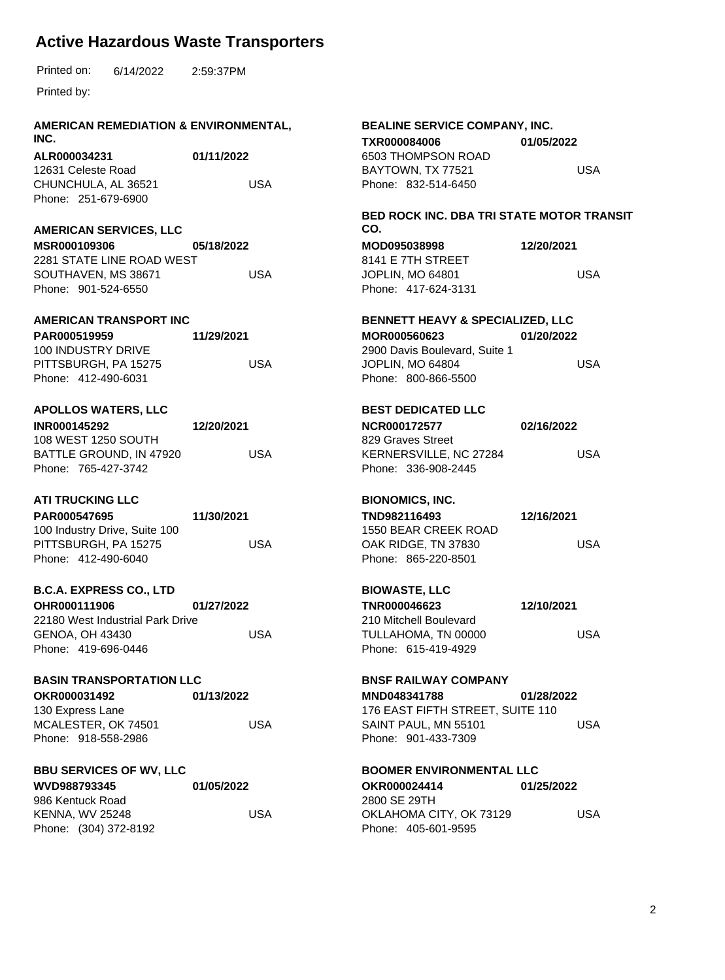| <b>AMERICAN REMEDIATION &amp; ENVIRONMENTAL,</b><br>INC.  |            |            | BEALINE SERVICE COMPANY, INC.<br>TXR000084006                  | 01/05/2022 |            |
|-----------------------------------------------------------|------------|------------|----------------------------------------------------------------|------------|------------|
| ALR000034231<br>12631 Celeste Road<br>CHUNCHULA, AL 36521 | 01/11/2022 | <b>USA</b> | 6503 THOMPSON ROAD<br>BAYTOWN, TX 77521<br>Phone: 832-514-6450 |            | <b>USA</b> |
| Phone: 251-679-6900                                       |            |            |                                                                |            |            |
| <b>AMERICAN SERVICES, LLC</b>                             |            |            | BED ROCK INC. DBA TRI STATE MOTOR TRANSIT<br>CO.               |            |            |
| MSR000109306<br>2281 STATE LINE ROAD WEST                 | 05/18/2022 |            | MOD095038998<br>8141 E 7TH STREET                              | 12/20/2021 |            |
| SOUTHAVEN, MS 38671<br>Phone: 901-524-6550                |            | <b>USA</b> | JOPLIN, MO 64801<br>Phone: 417-624-3131                        |            | <b>USA</b> |
| <b>AMERICAN TRANSPORT INC</b>                             |            |            | <b>BENNETT HEAVY &amp; SPECIALIZED, LLC</b>                    |            |            |
| PAR000519959<br>100 INDUSTRY DRIVE                        | 11/29/2021 |            | MOR000560623<br>2900 Davis Boulevard, Suite 1                  | 01/20/2022 |            |
| PITTSBURGH, PA 15275<br>Phone: 412-490-6031               |            | <b>USA</b> | JOPLIN, MO 64804<br>Phone: 800-866-5500                        |            | <b>USA</b> |
| <b>APOLLOS WATERS, LLC</b>                                |            |            | <b>BEST DEDICATED LLC</b>                                      |            |            |
| INR000145292                                              | 12/20/2021 |            | NCR000172577                                                   | 02/16/2022 |            |
| 108 WEST 1250 SOUTH<br>BATTLE GROUND, IN 47920            |            | <b>USA</b> | 829 Graves Street<br>KERNERSVILLE, NC 27284                    |            | <b>USA</b> |
| Phone: 765-427-3742                                       |            |            | Phone: 336-908-2445                                            |            |            |
| <b>ATI TRUCKING LLC</b>                                   |            |            | <b>BIONOMICS, INC.</b>                                         |            |            |
| PAR000547695<br>100 Industry Drive, Suite 100             | 11/30/2021 |            | TND982116493<br>1550 BEAR CREEK ROAD                           | 12/16/2021 |            |
| PITTSBURGH, PA 15275                                      |            | <b>USA</b> | OAK RIDGE, TN 37830                                            |            | <b>USA</b> |
| Phone: 412-490-6040                                       |            |            | Phone: 865-220-8501                                            |            |            |
| <b>B.C.A. EXPRESS CO., LTD</b>                            |            |            | <b>BIOWASTE, LLC</b>                                           |            |            |
| OHR000111906<br>22180 West Industrial Park Drive          | 01/27/2022 |            | TNR000046623<br>210 Mitchell Boulevard                         | 12/10/2021 |            |
| <b>GENOA, OH 43430</b>                                    |            | <b>USA</b> | TULLAHOMA, TN 00000                                            |            | <b>USA</b> |
| Phone: 419-696-0446                                       |            |            | Phone: 615-419-4929                                            |            |            |
| <b>BASIN TRANSPORTATION LLC</b>                           |            |            | <b>BNSF RAILWAY COMPANY</b>                                    |            |            |
| OKR000031492                                              | 01/13/2022 |            | MND048341788                                                   | 01/28/2022 |            |
| 130 Express Lane<br>MCALESTER, OK 74501                   |            | <b>USA</b> | 176 EAST FIFTH STREET, SUITE 110<br>SAINT PAUL, MN 55101       |            | <b>USA</b> |
| Phone: 918-558-2986                                       |            |            | Phone: 901-433-7309                                            |            |            |
| <b>BBU SERVICES OF WV, LLC</b>                            |            |            | <b>BOOMER ENVIRONMENTAL LLC</b>                                |            |            |
| WVD988793345                                              | 01/05/2022 |            | OKR000024414                                                   | 01/25/2022 |            |
| 986 Kentuck Road<br><b>KENNA, WV 25248</b>                |            | <b>USA</b> | 2800 SE 29TH<br>OKLAHOMA CITY, OK 73129                        |            | <b>USA</b> |
| Phone: (304) 372-8192                                     |            |            | Phone: 405-601-9595                                            |            |            |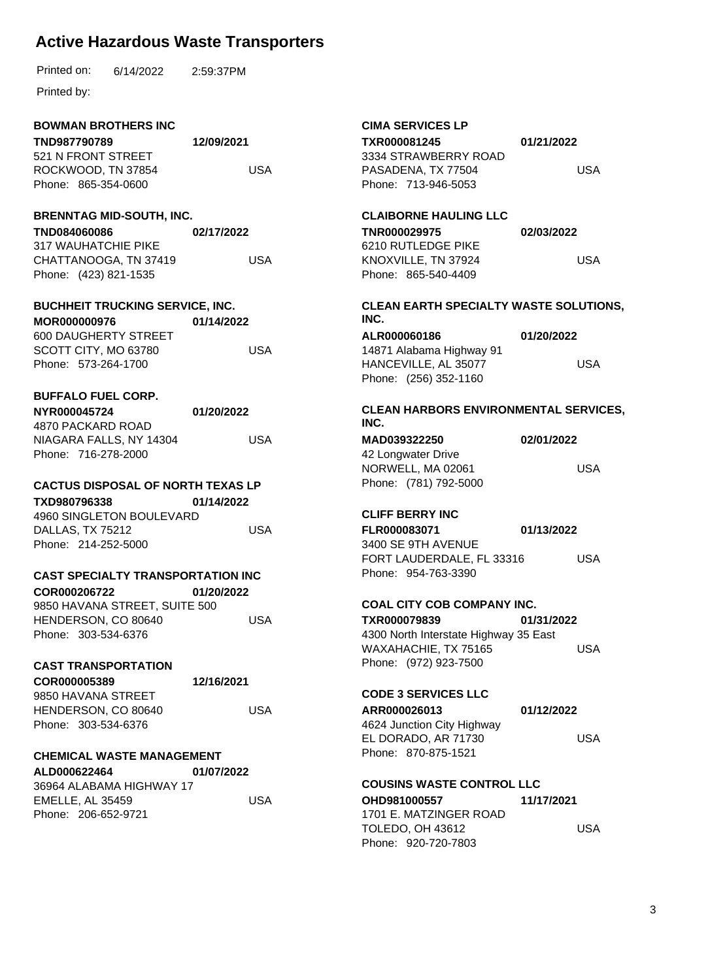6/14/2022 Printed on: 2:59:37PM

Printed by:

### **BOWMAN BROTHERS INC**

| TND987790789        | 12/09/2021 |
|---------------------|------------|
| 521 N FRONT STREET  |            |
| ROCKWOOD. TN 37854  | USA        |
| Phone: 865-354-0600 |            |

#### **BRENNTAG MID-SOUTH, INC.**

**TND084060086** 317 WAUHATCHIE PIKE CHATTANOOGA, TN 37419 Phone: (423) 821-1535 **02/17/2022** USA

**BUCHHEIT TRUCKING SERVICE, INC. MOR000000976** 600 DAUGHERTY STREET **01/14/2022** USA

SCOTT CITY, MO 63780 Phone: 573-264-1700

# **BUFFALO FUEL CORP.**

**NYR000045724** 4870 PACKARD ROAD NIAGARA FALLS, NY 14304 Phone: 716-278-2000 **01/20/2022** USA

### **CACTUS DISPOSAL OF NORTH TEXAS LP**

**TXD980796338** 4960 SINGLETON BOULEVARD DALLAS, TX 75212 Phone: 214-252-5000 **01/14/2022** USA

### **CAST SPECIALTY TRANSPORTATION INC**

**COR000206722** 9850 HAVANA STREET, SUITE 500 HENDERSON, CO 80640 Phone: 303-534-6376 **01/20/2022** USA

#### **CAST TRANSPORTATION**

| COR000005389        | 12/16/2021 |
|---------------------|------------|
| 9850 HAVANA STREET  |            |
| HENDERSON, CO 80640 |            |
| Phone: 303-534-6376 |            |

### **CHEMICAL WASTE MANAGEMENT**

**ALD000622464** 36964 ALABAMA HIGHWAY 17 EMELLE, AL 35459 Phone: 206-652-9721 **01/07/2022** USA

USA

#### **CIMA SERVICES LP TXR000081245** 3334 STRAWBERRY ROAD PASADENA, TX 77504 Phone: 713-946-5053 **01/21/2022** USA **CLAIBORNE HAULING LLC TNR000029975** 6210 RUTLEDGE PIKE KNOXVILLE, TN 37924 Phone: 865-540-4409 **02/03/2022** USA **CLEAN EARTH SPECIALTY WASTE SOLUTIONS, INC. ALR000060186** 14871 Alabama Highway 91 HANCEVILLE, AL 35077 Phone: (256) 352-1160 **01/20/2022** USA **CLEAN HARBORS ENVIRONMENTAL SERVICES, INC. MAD039322250** 42 Longwater Drive NORWELL, MA 02061 Phone: (781) 792-5000 **02/01/2022** USA **CLIFF BERRY INC FLR000083071** 3400 SE 9TH AVENUE FORT LAUDERDALE, FL 33316 Phone: 954-763-3390 **01/13/2022** USA **COAL CITY COB COMPANY INC. TXR000079839** 4300 North Interstate Highway 35 East WAXAHACHIE, TX 75165 Phone: (972) 923-7500 **01/31/2022** USA **CODE 3 SERVICES LLC ARR000026013** 4624 Junction City Highway EL DORADO, AR 71730 Phone: 870-875-1521 **01/12/2022** USA **COUSINS WASTE CONTROL LLC OHD981000557** 1701 E. MATZINGER ROAD TOLEDO, OH 43612 **11/17/2021** USA

Phone: 920-720-7803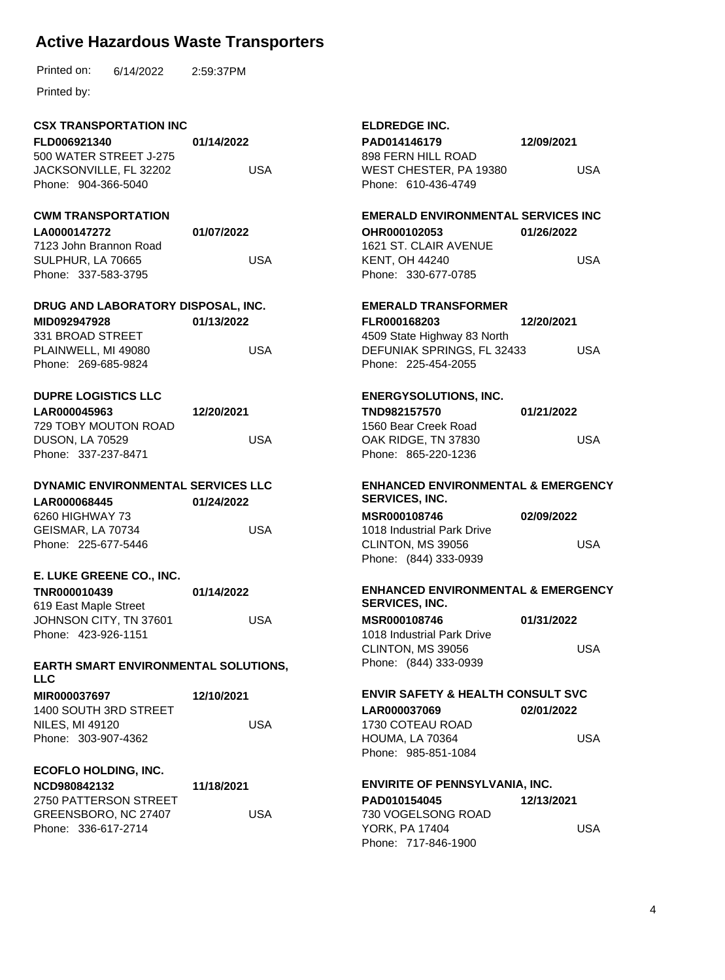|  | Printed on: | 6/14/2022 | 2:59:37PM |
|--|-------------|-----------|-----------|
|--|-------------|-----------|-----------|

| <b>CSX TRANSPORTATION INC</b>                             |            | <b>ELDREDGE INC.</b>                          |            |
|-----------------------------------------------------------|------------|-----------------------------------------------|------------|
| FLD006921340                                              | 01/14/2022 | PAD014146179<br>12/09/2021                    |            |
| 500 WATER STREET J-275                                    |            | 898 FERN HILL ROAD                            |            |
| JACKSONVILLE, FL 32202                                    | <b>USA</b> | WEST CHESTER, PA 19380                        | <b>USA</b> |
| Phone: 904-366-5040                                       |            | Phone: 610-436-4749                           |            |
| <b>CWM TRANSPORTATION</b>                                 |            | <b>EMERALD ENVIRONMENTAL SERVICES INC</b>     |            |
| LA0000147272                                              | 01/07/2022 | OHR000102053                                  | 01/26/2022 |
| 7123 John Brannon Road                                    |            | 1621 ST. CLAIR AVENUE                         |            |
| SULPHUR, LA 70665                                         | <b>USA</b> | <b>KENT, OH 44240</b>                         | <b>USA</b> |
| Phone: 337-583-3795                                       |            | Phone: 330-677-0785                           |            |
| DRUG AND LABORATORY DISPOSAL, INC.                        |            | <b>EMERALD TRANSFORMER</b>                    |            |
| MID092947928                                              | 01/13/2022 | FLR000168203                                  | 12/20/2021 |
| 331 BROAD STREET                                          |            | 4509 State Highway 83 North                   |            |
| PLAINWELL, MI 49080                                       | <b>USA</b> | DEFUNIAK SPRINGS, FL 32433                    | <b>USA</b> |
| Phone: 269-685-9824                                       |            | Phone: 225-454-2055                           |            |
| <b>DUPRE LOGISTICS LLC</b>                                |            | <b>ENERGYSOLUTIONS, INC.</b>                  |            |
| LAR000045963                                              | 12/20/2021 | TND982157570                                  | 01/21/2022 |
| 729 TOBY MOUTON ROAD                                      |            | 1560 Bear Creek Road                          |            |
| <b>USA</b><br><b>DUSON, LA 70529</b>                      |            | OAK RIDGE, TN 37830                           | <b>USA</b> |
| Phone: 337-237-8471                                       |            | Phone: 865-220-1236                           |            |
| DYNAMIC ENVIRONMENTAL SERVICES LLC                        |            | <b>ENHANCED ENVIRONMENTAL &amp; EMERGENCY</b> |            |
| LAR000068445                                              | 01/24/2022 | SERVICES, INC.                                |            |
| 6260 HIGHWAY 73                                           |            | MSR000108746                                  | 02/09/2022 |
| GEISMAR, LA 70734                                         | <b>USA</b> | 1018 Industrial Park Drive                    |            |
| Phone: 225-677-5446                                       |            | CLINTON, MS 39056                             | <b>USA</b> |
|                                                           |            | Phone: (844) 333-0939                         |            |
| E. LUKE GREENE CO., INC.                                  |            |                                               |            |
| TNR000010439                                              | 01/14/2022 | <b>ENHANCED ENVIRONMENTAL &amp; EMERGENCY</b> |            |
| 619 East Maple Street                                     |            | <b>SERVICES, INC.</b>                         |            |
| JOHNSON CITY, TN 37601                                    | <b>USA</b> | MSR000108746                                  | 01/31/2022 |
| Phone: 423-926-1151                                       |            | 1018 Industrial Park Drive                    |            |
|                                                           |            | CLINTON, MS 39056                             | <b>USA</b> |
| <b>EARTH SMART ENVIRONMENTAL SOLUTIONS,</b><br><b>LLC</b> |            | Phone: (844) 333-0939                         |            |
| MIR000037697                                              | 12/10/2021 | <b>ENVIR SAFETY &amp; HEALTH CONSULT SVC</b>  |            |
| 1400 SOUTH 3RD STREET                                     |            | LAR000037069                                  | 02/01/2022 |
| <b>NILES, MI 49120</b>                                    | <b>USA</b> | 1730 COTEAU ROAD                              |            |
| Phone: 303-907-4362                                       |            | HOUMA, LA 70364                               | <b>USA</b> |
|                                                           |            | Phone: 985-851-1084                           |            |
| <b>ECOFLO HOLDING, INC.</b>                               |            |                                               |            |
| NCD980842132                                              | 11/18/2021 | <b>ENVIRITE OF PENNSYLVANIA, INC.</b>         |            |
| 2750 PATTERSON STREET                                     |            | PAD010154045                                  | 12/13/2021 |
| GREENSBORO, NC 27407                                      | <b>USA</b> | 730 VOGELSONG ROAD                            |            |
| Phone: 336-617-2714                                       |            | YORK, PA 17404                                | <b>USA</b> |
|                                                           |            | Phone: 717-846-1900                           |            |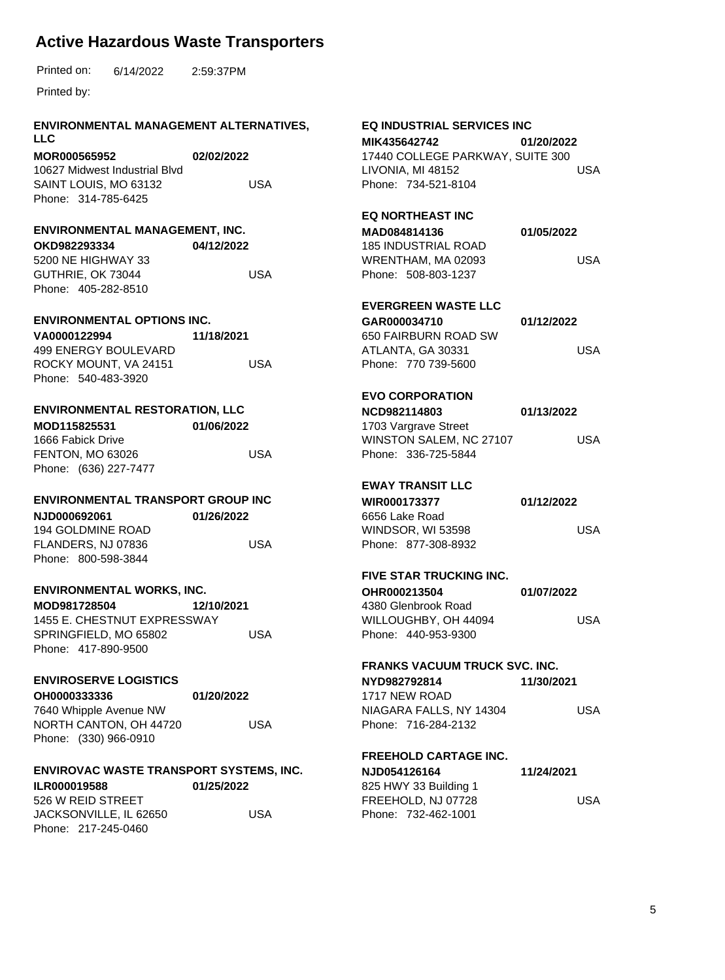Printed by:

#### **ENVIRONMENTAL MANAGEMENT ALTERNATIVES, LLC**

**MOR000565952** 10627 Midwest Industrial Blvd SAINT LOUIS, MO 63132 Phone: 314-785-6425 **02/02/2022** USA

#### **ENVIRONMENTAL MANAGEMENT, INC.**

**OKD982293334** 5200 NE HIGHWAY 33 GUTHRIE, OK 73044 Phone: 405-282-8510 **04/12/2022** USA

#### **ENVIRONMENTAL OPTIONS INC.**

| VA0000122994          | 11/18/2021 |
|-----------------------|------------|
| 499 ENERGY BOULEVARD  |            |
| ROCKY MOUNT. VA 24151 | USA        |
| Phone: 540-483-3920   |            |

#### **ENVIRONMENTAL RESTORATION, LLC**

| MOD115825531          | 01/06/2022 |
|-----------------------|------------|
| 1666 Fabick Drive     |            |
| FENTON, MO 63026      | USA        |
| Phone: (636) 227-7477 |            |

#### **ENVIRONMENTAL TRANSPORT GROUP INC**

**NJD000692061** 194 GOLDMINE ROAD FLANDERS, NJ 07836 Phone: 800-598-3844 **01/26/2022** USA

#### **ENVIRONMENTAL WORKS, INC.**

| MOD981728504 |                             | 12/10/2021 |
|--------------|-----------------------------|------------|
|              | 1455 E. CHESTNUT EXPRESSWAY |            |
|              | SPRINGFIELD, MO 65802       | USA        |
|              | Phone: 417-890-9500         |            |

### **ENVIROSERVE LOGISTICS**

| OH0000333336           | 01/20/2022 |
|------------------------|------------|
| 7640 Whipple Avenue NW |            |
| NORTH CANTON, OH 44720 |            |
| Phone: (330) 966-0910  |            |

|  |  |  | 172072022 |  |  |
|--|--|--|-----------|--|--|
|  |  |  |           |  |  |
|  |  |  |           |  |  |
|  |  |  |           |  |  |

USA

### **ENVIROVAC WASTE TRANSPORT SYSTEMS, INC.**

| <b>ILR000019588</b>    | 01/25/2022 |
|------------------------|------------|
| 526 W REID STREET      |            |
| JACKSONVILLE, IL 62650 | USA        |
| Phone: 217-245-0460    |            |

#### **EQ INDUSTRIAL SERVICES INC MIK435642742** 17440 COLLEGE PARKWAY, SUITE 300 LIVONIA, MI 48152 Phone: 734-521-8104 **01/20/2022** USA **EQ NORTHEAST INC MAD084814136** 185 INDUSTRIAL ROAD WRENTHAM, MA 02093 Phone: 508-803-1237 **01/05/2022** USA **EVERGREEN WASTE LLC GAR000034710** 650 FAIRBURN ROAD SW ATLANTA, GA 30331 Phone: 770 739-5600 **01/12/2022** USA **EVO CORPORATION NCD982114803** 1703 Vargrave Street WINSTON SALEM, NC 27107 Phone: 336-725-5844 **01/13/2022** USA **EWAY TRANSIT LLC WIR000173377** 6656 Lake Road WINDSOR, WI 53598 Phone: 877-308-8932 **01/12/2022** USA **FIVE STAR TRUCKING INC. OHR000213504 01/07/2022**

#### 4380 Glenbrook Road WILLOUGHBY, OH 44094 Phone: 440-953-9300 USA

### **FRANKS VACUUM TRUCK SVC. INC.**

**NYD982792814** 1717 NEW ROAD NIAGARA FALLS, NY 14304 Phone: 716-284-2132 **11/30/2021** USA

### **FREEHOLD CARTAGE INC.**

| 11/24/2021 |
|------------|
|            |
| USA        |
|            |
|            |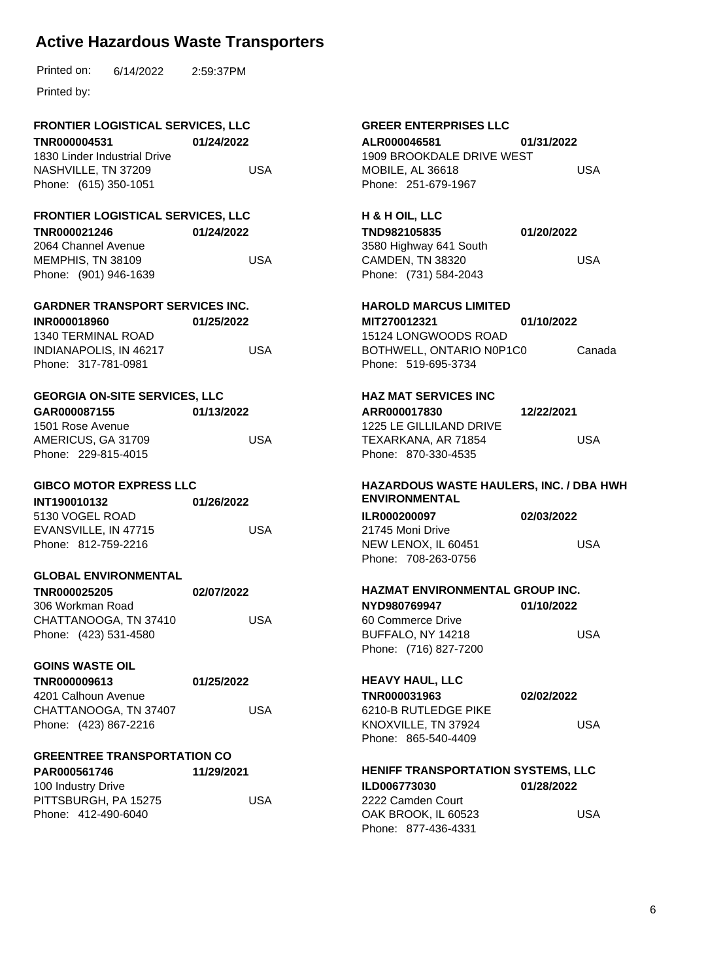| Printed on: | 6/14/2022 | 2:59:37PM |
|-------------|-----------|-----------|
|             |           |           |

Printed by:

# **FRONTIER LOGISTICAL SERVICES, LLC**

**TNR000004531** 1830 Linder Industrial Drive NASHVILLE, TN 37209 Phone: (615) 350-1051 **01/24/2022** USA

#### **FRONTIER LOGISTICAL SERVICES, LLC**

**TNR000021246** 2064 Channel Avenue **01/24/2022**

MEMPHIS, TN 38109 Phone: (901) 946-1639 USA

#### **GARDNER TRANSPORT SERVICES INC. INR000018960 01/25/2022**

1340 TERMINAL ROAD INDIANAPOLIS, IN 46217 Phone: 317-781-0981 USA

### **GEORGIA ON-SITE SERVICES, LLC**

| GAR000087155        | 01/13/2022 |
|---------------------|------------|
| 1501 Rose Avenue    |            |
| AMERICUS, GA 31709  | USA        |
| Phone: 229-815-4015 |            |

#### **GIBCO MOTOR EXPRESS LLC**

| INT190010132         | 01/26/2022 |
|----------------------|------------|
| 5130 VOGEL ROAD      |            |
| EVANSVILLE, IN 47715 | USA        |
| Phone: 812-759-2216  |            |

#### **GLOBAL ENVIRONMENTAL**

| <b>TNR000025205</b>   | 02/07/2022 |
|-----------------------|------------|
| 306 Workman Road      |            |
| CHATTANOOGA, TN 37410 | USA        |
| Phone: (423) 531-4580 |            |

#### **GOINS WASTE OIL**

#### **TNR000009613** 4201 Calhoun Avenue CHATTANOOGA, TN 37407 Phone: (423) 867-2216 **01/25/2022**

### **GREENTREE TRANSPORTATION CO**

| 11/29/2021 |
|------------|
|            |
| USA        |
|            |
|            |

USA

#### **GREER ENTERPRISES LLC ALR000046581** 1909 BROOKDALE DRIVE WEST MOBILE, AL 36618 Phone: 251-679-1967 **01/31/2022** USA

# **H & H OIL, LLC**

| TND982105835           | 01/20/2022 |
|------------------------|------------|
| 3580 Highway 641 South |            |
| CAMDEN. TN 38320       | USA        |
| Phone: (731) 584-2043  |            |

#### **HAROLD MARCUS LIMITED MIT270012321** 15124 LONGWOODS ROAD BOTHWELL, ONTARIO N0P1C0 Phone: 519-695-3734 **01/10/2022** Canada

## **HAZ MAT SERVICES INC**

**ARR000017830** 1225 LE GILLILAND DRIVE TEXARKANA, AR 71854 Phone: 870-330-4535 **12/22/2021** USA

#### **HAZARDOUS WASTE HAULERS, INC. / DBA HWH ENVIRONMENTAL**

| <b>ILR000200097</b> | 02/03/2022 |
|---------------------|------------|
| 21745 Moni Drive    |            |
| NEW LENOX. IL 60451 | USA        |
| Phone: 708-263-0756 |            |
|                     |            |

### **HAZMAT ENVIRONMENTAL GROUP INC.**

| NYD980769947          | 01/10/2022 |
|-----------------------|------------|
| 60 Commerce Drive     |            |
| BUFFALO. NY 14218     | USA        |
| Phone: (716) 827-7200 |            |

#### **HEAVY HAUL, LLC**

**TNR000031963** 6210-B RUTLEDGE PIKE KNOXVILLE, TN 37924 Phone: 865-540-4409 **02/02/2022** USA

### **HENIFF TRANSPORTATION SYSTEMS, LLC**

| <b>ILD006773030</b> | 01/28/2022 |
|---------------------|------------|
| 2222 Camden Court   |            |
| OAK BROOK. IL 60523 | USA        |
| Phone: 877-436-4331 |            |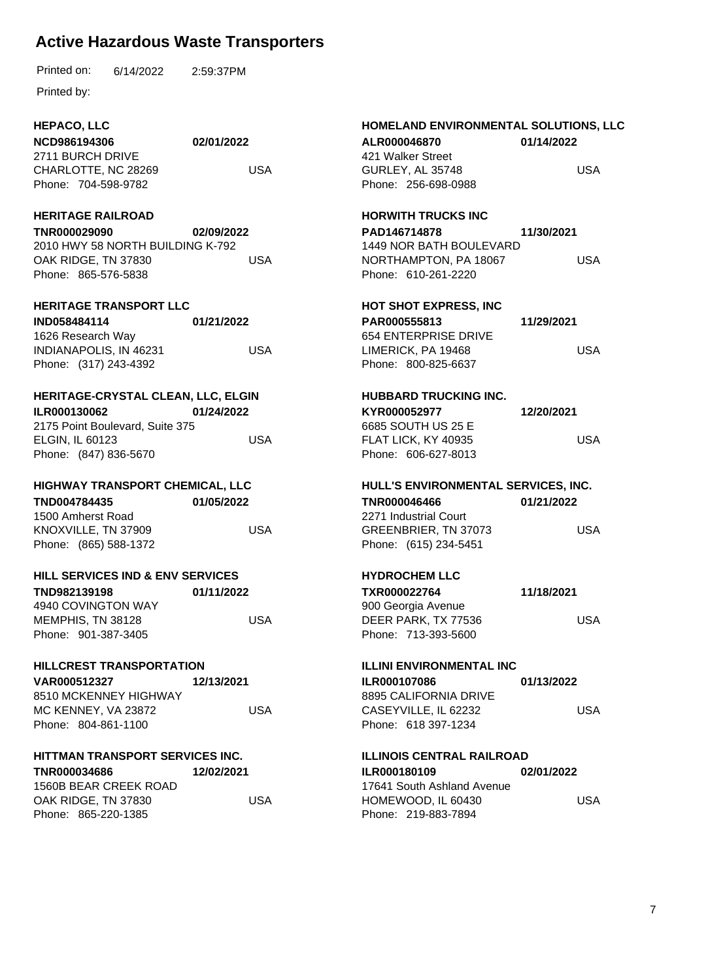|  | Printed on: | 6/14/2022 | 2:59:37PM |
|--|-------------|-----------|-----------|
|--|-------------|-----------|-----------|

Printed by:

## **HEPACO, LLC**

| NCD986194306        | 02/01/2022 |
|---------------------|------------|
| 2711 BURCH DRIVE    |            |
| CHARLOTTE, NC 28269 | USA        |
| Phone: 704-598-9782 |            |

#### **HERITAGE RAILROAD**

**TNR000029090** 2010 HWY 58 NORTH BUILDING K-792 OAK RIDGE, TN 37830 Phone: 865-576-5838 **02/09/2022** USA

## **HERITAGE TRANSPORT LLC**

| <b>IND058484114</b>    | 01/21/2022 |
|------------------------|------------|
| 1626 Research Way      |            |
| INDIANAPOLIS, IN 46231 | USA        |
| Phone: (317) 243-4392  |            |

#### **HERITAGE-CRYSTAL CLEAN, LLC, ELGIN**

**ILR000130062** 2175 Point Boulevard, Suite 375 ELGIN, IL 60123 Phone: (847) 836-5670 **01/24/2022** USA

#### **HIGHWAY TRANSPORT CHEMICAL, LLC**

| TND004784435          | 01/05/2022 |
|-----------------------|------------|
| 1500 Amherst Road     |            |
| KNOXVILLE, TN 37909   | USA        |
| Phone: (865) 588-1372 |            |

#### **HILL SERVICES IND & ENV SERVICES**

| TND982139198        | 01/11/2022 |
|---------------------|------------|
| 4940 COVINGTON WAY  |            |
| MEMPHIS, TN 38128   | USA        |
| Phone: 901-387-3405 |            |

#### **HILLCREST TRANSPORTATION**

**VAR000512327** 8510 MCKENNEY HIGHWAY MC KENNEY, VA 23872 Phone: 804-861-1100 **12/13/2021**

#### **HITTMAN TRANSPORT SERVICES INC.**

**TNR000034686** 1560B BEAR CREEK ROAD OAK RIDGE, TN 37830 Phone: 865-220-1385 **12/02/2021** USA

USA

#### **HOMELAND ENVIRONMENTAL SOLUTIONS, LLC ALR000046870** 421 Walker Street GURLEY, AL 35748 Phone: 256-698-0988 **01/14/2022** USA **HORWITH TRUCKS INC PAD146714878** 1449 NOR BATH BOULEVARD NORTHAMPTON, PA 18067 Phone: 610-261-2220 **11/30/2021** USA **HOT SHOT EXPRESS, INC PAR000555813** 654 ENTERPRISE DRIVE LIMERICK, PA 19468 Phone: 800-825-6637 **11/29/2021** USA **HUBBARD TRUCKING INC. KYR000052977** 6685 SOUTH US 25 E FLAT LICK, KY 40935 Phone: 606-627-8013 **12/20/2021** USA **HULL'S ENVIRONMENTAL SERVICES, INC. TNR000046466** 2271 Industrial Court GREENBRIER, TN 37073 Phone: (615) 234-5451 **01/21/2022** USA **HYDROCHEM LLC**

| 11/18/2021 |
|------------|
|            |
| USA        |
|            |
|            |

#### **ILLINI ENVIRONMENTAL INC**

**ILR000107086** 8895 CALIFORNIA DRIVE CASEYVILLE, IL 62232 Phone: 618 397-1234 **01/13/2022** USA

#### **ILLINOIS CENTRAL RAILROAD**

**ILR000180109** 17641 South Ashland Avenue HOMEWOOD, IL 60430 Phone: 219-883-7894 **02/01/2022** USA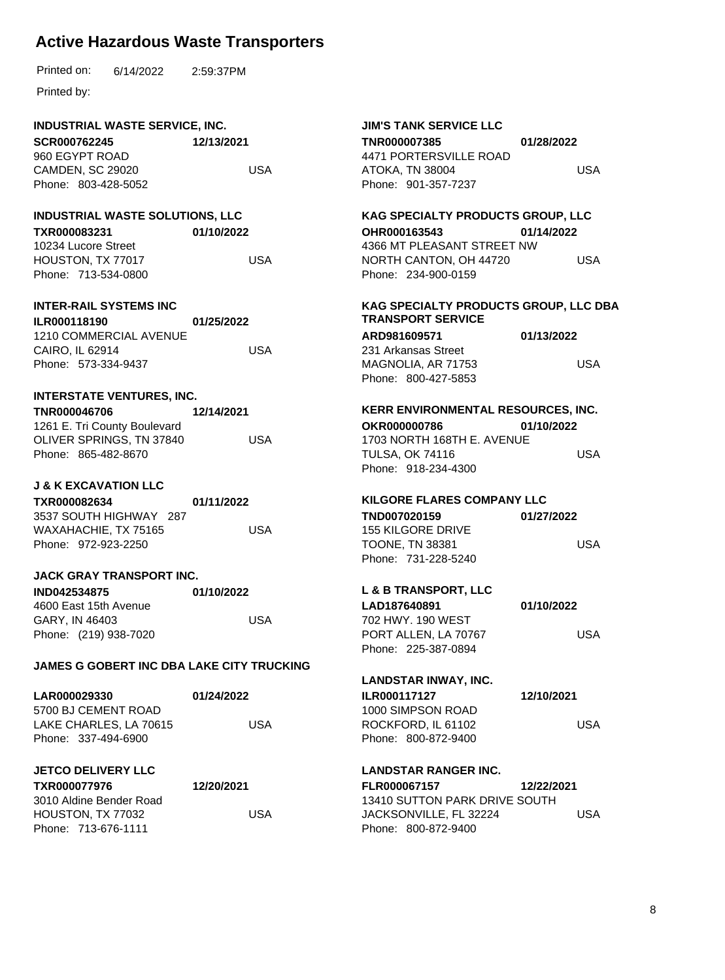| Printed on: | 6/14/2022 | 2:59:37PM |
|-------------|-----------|-----------|
|             |           |           |

Printed by:

#### **INDUSTRIAL WASTE SERVICE, INC.**

**SCR000762245** 960 EGYPT ROAD CAMDEN, SC 29020 Phone: 803-428-5052 **12/13/2021** USA

#### **INDUSTRIAL WASTE SOLUTIONS, LLC**

**TXR000083231 01/10/2022**

10234 Lucore Street HOUSTON, TX 77017 Phone: 713-534-0800 USA

#### **INTER-RAIL SYSTEMS INC**

**ILR000118190** 1210 COMMERCIAL AVENUE CAIRO, IL 62914 Phone: 573-334-9437 **01/25/2022** USA

### **INTERSTATE VENTURES, INC.**

| TNR000046706                 | 12/14/2021 |
|------------------------------|------------|
| 1261 E. Tri County Boulevard |            |
| OLIVER SPRINGS. TN 37840     | USA        |
| Phone: 865-482-8670          |            |

#### **J & K EXCAVATION LLC**

**TXR000082634** 3537 SOUTH HIGHWAY 287 WAXAHACHIE, TX 75165 Phone: 972-923-2250 **01/11/2022** USA

#### **JACK GRAY TRANSPORT INC.**

| <b>IND042534875</b>   | 01/10/2022 |
|-----------------------|------------|
| 4600 East 15th Avenue |            |
| GARY. IN 46403        | USA        |
| Phone: (219) 938-7020 |            |

#### **JAMES G GOBERT INC DBA LAKE CITY TRUCKING**

| <b>LAR000029330</b>    | 01/24/2022 |
|------------------------|------------|
| 5700 BJ CEMENT ROAD    |            |
| LAKE CHARLES, LA 70615 | USA        |
| Phone: 337-494-6900    |            |

#### **JETCO DELIVERY LLC**

| <b>TXR000077976</b>     | 12/20/2021 |
|-------------------------|------------|
| 3010 Aldine Bender Road |            |
| HOUSTON, TX 77032       | USA        |
| Phone: 713-676-1111     |            |

#### **JIM'S TANK SERVICE LLC TNR000007385** 4471 PORTERSVILLE ROAD ATOKA, TN 38004 Phone: 901-357-7237 **01/28/2022** USA

#### **KAG SPECIALTY PRODUCTS GROUP, LLC**

**OHR000163543** 4366 MT PLEASANT STREET NW NORTH CANTON, OH 44720 Phone: 234-900-0159 **01/14/2022** USA

#### **KAG SPECIALTY PRODUCTS GROUP, LLC DBA TRANSPORT SERVICE**

| ARD981609571        | 01/13/2022 |
|---------------------|------------|
| 231 Arkansas Street |            |
| MAGNOLIA, AR 71753  | USA        |
| Phone: 800-427-5853 |            |

# **KERR ENVIRONMENTAL RESOURCES, INC.**

| <b>OKR000000786</b>        | 01/10/2022 |
|----------------------------|------------|
| 1703 NORTH 168TH E. AVENUE |            |
| TULSA. OK 74116            | USA        |
| Phone: 918-234-4300        |            |

#### **KILGORE FLARES COMPANY LLC**

| 01/27/2022 |
|------------|
|            |
| USA        |
|            |
|            |

#### **L & B TRANSPORT, LLC LAD187640891 01/10/2022**

| 702 HWY, 190 WEST    |     |
|----------------------|-----|
| PORT ALLEN, LA 70767 | USA |
| Phone: 225-387-0894  |     |

### **LANDSTAR INWAY, INC.**

| <b>ILR000117127</b> | 12/10/2021 |
|---------------------|------------|
| 1000 SIMPSON ROAD   |            |
| ROCKFORD. IL 61102  | USA        |
| Phone: 800-872-9400 |            |

#### **LANDSTAR RANGER INC.**

| <b>FLR000067157</b> |                               | 12/22/2021 |     |
|---------------------|-------------------------------|------------|-----|
|                     | 13410 SUTTON PARK DRIVE SOUTH |            |     |
|                     | JACKSONVILLE, FL 32224        |            | USA |
|                     | Phone: 800-872-9400           |            |     |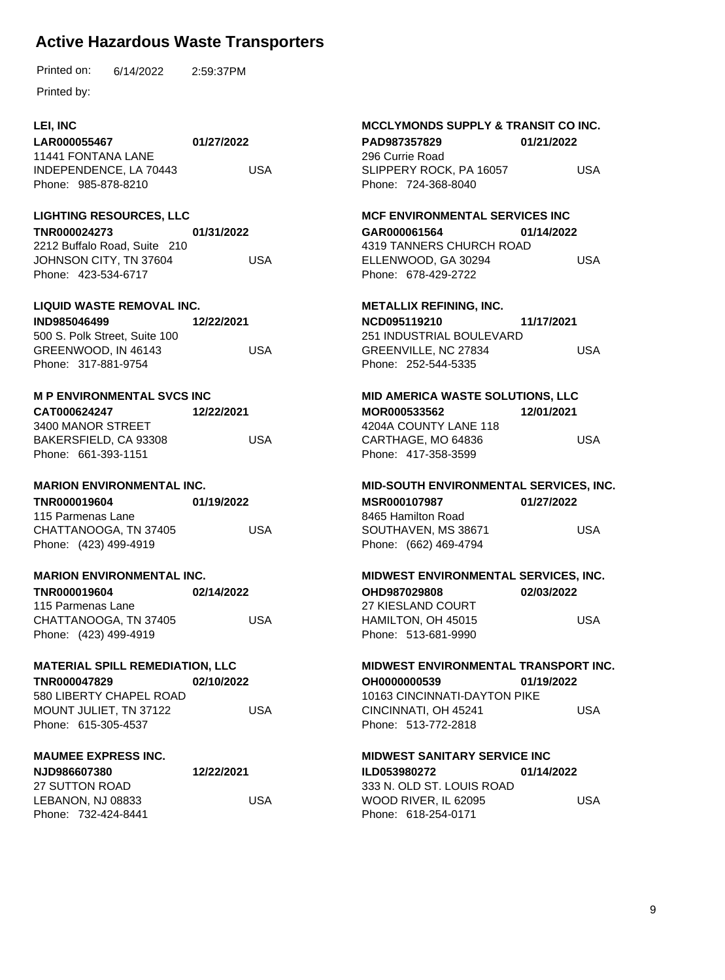6/14/2022 Printed on: 2:59:37PM

Printed by:

### **LEI, INC**

**LAR000055467** 11441 FONTANA LANE INDEPENDENCE, LA 70443 Phone: 985-878-8210 **01/27/2022** USA

#### **LIGHTING RESOURCES, LLC**

**TNR000024273** 2212 Buffalo Road, Suite 210 JOHNSON CITY, TN 37604 Phone: 423-534-6717 **01/31/2022** USA

### **LIQUID WASTE REMOVAL INC.**

**IND985046499** 500 S. Polk Street, Suite 100 GREENWOOD, IN 46143 Phone: 317-881-9754 **12/22/2021** USA

### **M P ENVIRONMENTAL SVCS INC**

**CAT000624247** 3400 MANOR STREET BAKERSFIELD, CA 93308 Phone: 661-393-1151 **12/22/2021** USA

#### **MARION ENVIRONMENTAL INC.**

**TNR000019604** 115 Parmenas Lane CHATTANOOGA, TN 37405 Phone: (423) 499-4919 **01/19/2022** USA

#### **MARION ENVIRONMENTAL INC.**

| <b>TNR000019604</b>   | 02/14/2022 |  |
|-----------------------|------------|--|
| 115 Parmenas Lane     |            |  |
| CHATTANOOGA, TN 37405 | USA        |  |
| Phone: (423) 499-4919 |            |  |

#### **MATERIAL SPILL REMEDIATION, LLC**

**TNR000047829** 580 LIBERTY CHAPEL ROAD MOUNT JULIET, TN 37122 Phone: 615-305-4537 **02/10/2022** USA

#### **MAUMEE EXPRESS INC.**

| NJD986607380        | 12/22/2021 |
|---------------------|------------|
| 27 SUTTON ROAD.     |            |
| LEBANON. NJ 08833   | USA        |
| Phone: 732-424-8441 |            |

#### **MCCLYMONDS SUPPLY & TRANSIT CO INC.**

| PAD987357829 |                         | 01/21/2022 |
|--------------|-------------------------|------------|
|              | 296 Currie Road         |            |
|              | SLIPPERY ROCK. PA 16057 | USA        |
|              | Phone: 724-368-8040     |            |

#### **MCF ENVIRONMENTAL SERVICES INC**

**GAR000061564** 4319 TANNERS CHURCH ROAD ELLENWOOD, GA 30294 Phone: 678-429-2722 **01/14/2022** USA

#### **METALLIX REFINING, INC.**

**NCD095119210** 251 INDUSTRIAL BOULEVARD GREENVILLE, NC 27834 Phone: 252-544-5335 **11/17/2021** USA

# **MID AMERICA WASTE SOLUTIONS, LLC**

**MOR000533562** 4204A COUNTY LANE 118 CARTHAGE, MO 64836 Phone: 417-358-3599 **12/01/2021** USA

#### **MID-SOUTH ENVIRONMENTAL SERVICES, INC.**

**MSR000107987** 8465 Hamilton Road SOUTHAVEN, MS 38671 Phone: (662) 469-4794 **01/27/2022** USA

#### **MIDWEST ENVIRONMENTAL SERVICES, INC. OHD987029808** 27 KIESLAND COURT HAMILTON, OH 45015 Phone: 513-681-9990 **02/03/2022** USA

#### **MIDWEST ENVIRONMENTAL TRANSPORT INC.**

**OH0000000539** 10163 CINCINNATI-DAYTON PIKE CINCINNATI, OH 45241 Phone: 513-772-2818 **01/19/2022** USA

### **MIDWEST SANITARY SERVICE INC**

**ILD053980272** 333 N. OLD ST. LOUIS ROAD WOOD RIVER, IL 62095 Phone: 618-254-0171 **01/14/2022** USA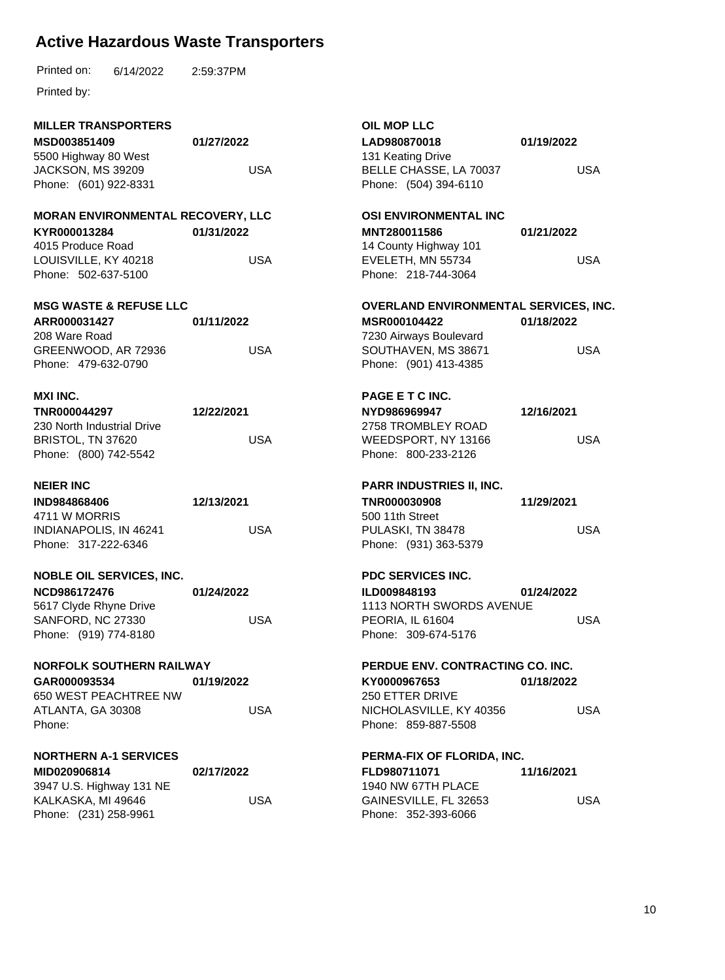| <b>MILLER TRANSPORTERS</b><br>MSD003851409<br>5500 Highway 80 West<br>JACKSON, MS 39209<br>Phone: (601) 922-8331             | 01/27/2022<br><b>USA</b> | <b>OIL MOP LLC</b><br>LAD980870018<br>131 Keating Drive<br>BELLE CHASSE, LA 70037<br>Phone: (504) 394-6110                      | 01/19/2022<br><b>USA</b> |
|------------------------------------------------------------------------------------------------------------------------------|--------------------------|---------------------------------------------------------------------------------------------------------------------------------|--------------------------|
| <b>MORAN ENVIRONMENTAL RECOVERY, LLC</b><br>KYR000013284<br>4015 Produce Road<br>LOUISVILLE, KY 40218<br>Phone: 502-637-5100 | 01/31/2022<br><b>USA</b> | <b>OSI ENVIRONMENTAL INC</b><br>MNT280011586<br>14 County Highway 101<br>EVELETH, MN 55734<br>Phone: 218-744-3064               | 01/21/2022<br><b>USA</b> |
| <b>MSG WASTE &amp; REFUSE LLC</b><br>ARR000031427<br>208 Ware Road<br>GREENWOOD, AR 72936<br>Phone: 479-632-0790             | 01/11/2022<br><b>USA</b> | OVERLAND ENVIRONMENTAL SERVICES, INC.<br>MSR000104422<br>7230 Airways Boulevard<br>SOUTHAVEN, MS 38671<br>Phone: (901) 413-4385 | 01/18/2022<br><b>USA</b> |
| <b>MXI INC.</b><br>TNR000044297<br>230 North Industrial Drive<br>BRISTOL, TN 37620<br>Phone: (800) 742-5542                  | 12/22/2021<br><b>USA</b> | PAGE E T C INC.<br>NYD986969947<br>2758 TROMBLEY ROAD<br>WEEDSPORT, NY 13166<br>Phone: 800-233-2126                             | 12/16/2021<br><b>USA</b> |
| <b>NEIER INC</b><br><b>IND984868406</b><br>4711 W MORRIS<br>INDIANAPOLIS, IN 46241<br>Phone: 317-222-6346                    | 12/13/2021<br><b>USA</b> | <b>PARR INDUSTRIES II, INC.</b><br>TNR000030908<br>500 11th Street<br>PULASKI, TN 38478<br>Phone: (931) 363-5379                | 11/29/2021<br><b>USA</b> |
| <b>NOBLE OIL SERVICES, INC.</b><br>NCD986172476<br>5617 Clyde Rhyne Drive<br>SANFORD, NC 27330<br>Phone: (919) 774-8180      | 01/24/2022<br><b>USA</b> | <b>PDC SERVICES INC.</b><br>ILD009848193<br>1113 NORTH SWORDS AVENUE<br>PEORIA, IL 61604<br>Phone: 309-674-5176                 | 01/24/2022<br><b>USA</b> |
| NORFOLK SOUTHERN RAILWAY<br>GAR000093534<br>650 WEST PEACHTREE NW<br>ATLANTA, GA 30308<br>Phone:                             | 01/19/2022<br><b>USA</b> | PERDUE ENV. CONTRACTING CO. INC.<br>KY0000967653<br>250 ETTER DRIVE<br>NICHOLASVILLE, KY 40356<br>Phone: 859-887-5508           | 01/18/2022<br><b>USA</b> |
| <b>NORTHERN A-1 SERVICES</b><br>MID020906814<br>3947 U.S. Highway 131 NE                                                     | 02/17/2022               | PERMA-FIX OF FLORIDA, INC.<br>FLD980711071                                                                                      | 11/16/2021               |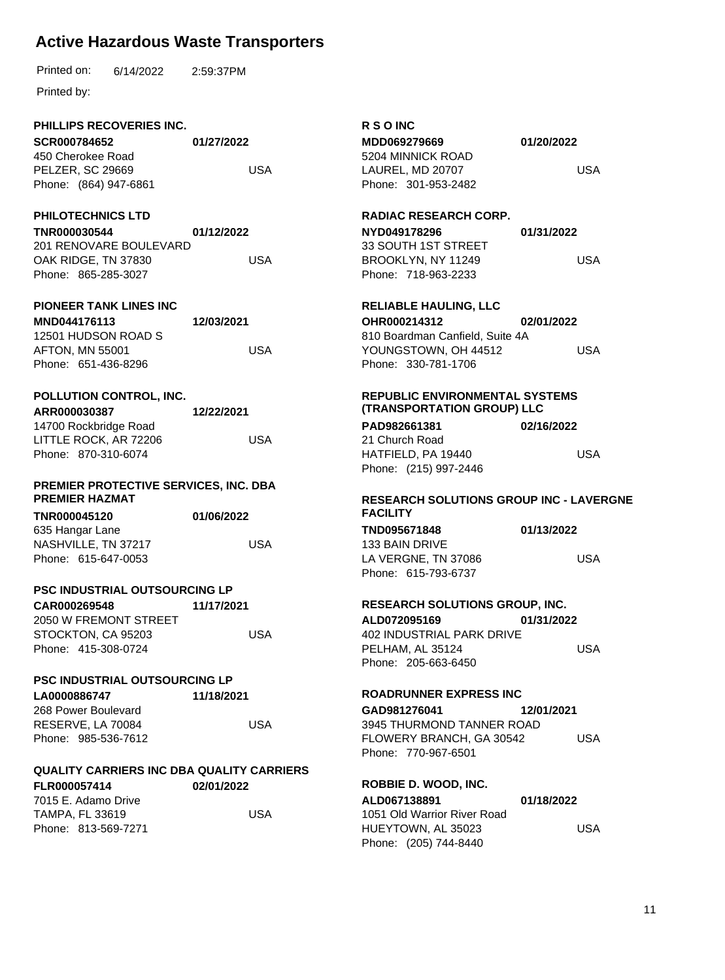6/14/2022 Printed on: 2:59:37PM

Printed by:

### **PHILLIPS RECOVERIES INC.**

**SCR000784652** 450 Cherokee Road PELZER, SC 29669 Phone: (864) 947-6861 **01/27/2022** USA

#### **PHILOTECHNICS LTD**

**TNR000030544** 201 RENOVARE BOULEVARD OAK RIDGE, TN 37830 Phone: 865-285-3027 **01/12/2022** USA

### **PIONEER TANK LINES INC**

**MND044176113** 12501 HUDSON ROAD S AFTON, MN 55001 Phone: 651-436-8296 **12/03/2021** USA

# **POLLUTION CONTROL, INC.**

**ARR000030387** 14700 Rockbridge Road LITTLE ROCK, AR 72206 Phone: 870-310-6074 **12/22/2021** USA

#### **PREMIER PROTECTIVE SERVICES, INC. DBA PREMIER HAZMAT**

| TNR000045120        | 01/06/2022 |
|---------------------|------------|
| 635 Hangar Lane     |            |
| NASHVILLE, TN 37217 | USA        |
| Phone: 615-647-0053 |            |

### **PSC INDUSTRIAL OUTSOURCING LP**

| CAR000269548          | 11/17/2021 |
|-----------------------|------------|
| 2050 W FREMONT STREET |            |
| STOCKTON, CA 95203    | USA        |
| Phone: 415-308-0724   |            |

### **PSC INDUSTRIAL OUTSOURCING LP**

| LA0000886747        | 11/18/2021 |
|---------------------|------------|
| 268 Power Boulevard |            |
| RESERVE, LA 70084   | USA        |
| Phone: 985-536-7612 |            |

### **QUALITY CARRIERS INC DBA QUALITY CARRIERS**

| FLR000057414        | 02/01/2022 |
|---------------------|------------|
| 7015 E. Adamo Drive |            |
| TAMPA. FL 33619     | USA        |
| Phone: 813-569-7271 |            |

# **R S O INC**

| MDD069279669     |                     |  |  |
|------------------|---------------------|--|--|
|                  | 5204 MINNICK ROAD   |  |  |
| LAUREL. MD 20707 |                     |  |  |
|                  | Phone: 301-953-2482 |  |  |

**01/20/2022**

USA

#### **RADIAC RESEARCH CORP.**

**NYD049178296** 33 SOUTH 1ST STREET BROOKLYN, NY 11249 Phone: 718-963-2233 **01/31/2022** USA

# **RELIABLE HAULING, LLC**

**OHR000214312** 810 Boardman Canfield, Suite 4A YOUNGSTOWN, OH 44512 Phone: 330-781-1706 **02/01/2022** USA

#### **REPUBLIC ENVIRONMENTAL SYSTEMS (TRANSPORTATION GROUP) LLC**

**PAD982661381** 21 Church Road HATFIELD, PA 19440 Phone: (215) 997-2446 **02/16/2022** USA

#### **RESEARCH SOLUTIONS GROUP INC - LAVERGNE FACILITY**

**TND095671848** 133 BAIN DRIVE LA VERGNE, TN 37086 Phone: 615-793-6737 **01/13/2022** USA

#### **RESEARCH SOLUTIONS GROUP, INC.**

**ALD072095169** 402 INDUSTRIAL PARK DRIVE PELHAM, AL 35124 Phone: 205-663-6450 **01/31/2022** USA

#### **ROADRUNNER EXPRESS INC**

**GAD981276041** 3945 THURMOND TANNER ROAD FLOWERY BRANCH, GA 30542 Phone: 770-967-6501 **12/01/2021** USA

#### **ROBBIE D. WOOD, INC.**

**ALD067138891** 1051 Old Warrior River Road HUEYTOWN, AL 35023 Phone: (205) 744-8440 **01/18/2022** USA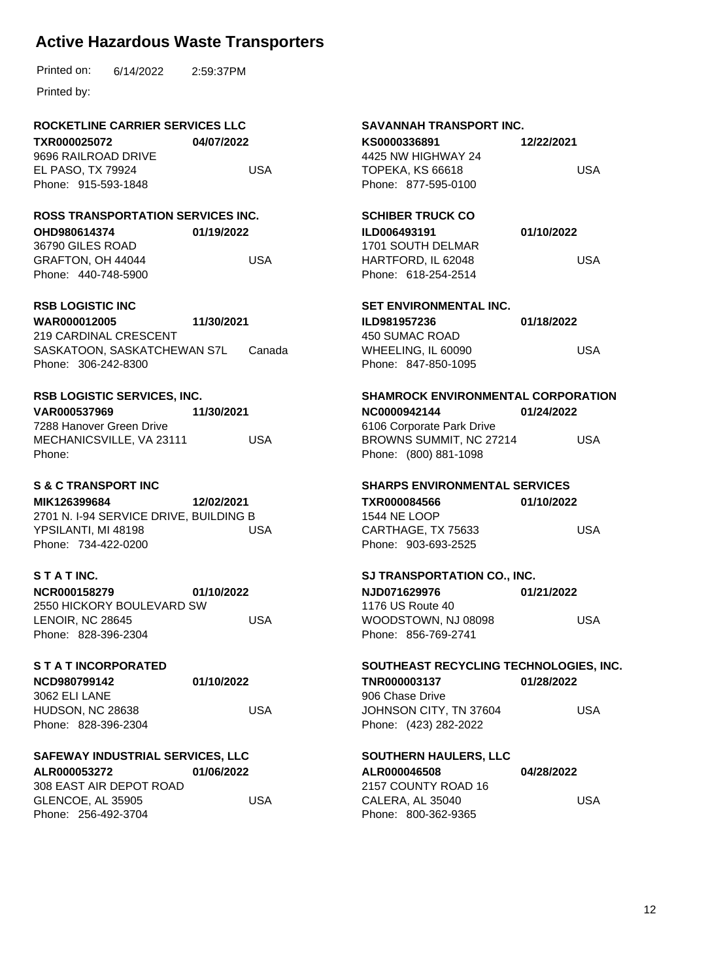6/14/2022 Printed on: 2:59:37PM

Printed by:

### **ROCKETLINE CARRIER SERVICES LLC**

**TXR000025072** 9696 RAILROAD DRIVE EL PASO, TX 79924 Phone: 915-593-1848 **04/07/2022** USA

## **ROSS TRANSPORTATION SERVICES INC.**

**OHD980614374** 36790 GILES ROAD **01/19/2022** USA

GRAFTON, OH 44044 Phone: 440-748-5900

## **RSB LOGISTIC INC**

**WAR000012005** 219 CARDINAL CRESCENT SASKATOON, SASKATCHEWAN S7L Phone: 306-242-8300 **11/30/2021** Canada

**RSB LOGISTIC SERVICES, INC. VAR000537969** 7288 Hanover Green Drive MECHANICSVILLE, VA 23111 Phone: **11/30/2021** USA

## **S & C TRANSPORT INC**

**MIK126399684** 2701 N. I-94 SERVICE DRIVE, BUILDING B YPSILANTI, MI 48198 Phone: 734-422-0200 **12/02/2021** USA

## **S T A T INC.**

**NCR000158279** 2550 HICKORY BOULEVARD SW LENOIR, NC 28645 Phone: 828-396-2304 **01/10/2022** USA

### **S T A T INCORPORATED**

| NCD980799142        | 01/10/2022 |
|---------------------|------------|
| 3062 ELI LANE       |            |
| HUDSON, NC 28638    | USA        |
| Phone: 828-396-2304 |            |

# **SAFEWAY INDUSTRIAL SERVICES, LLC**

**ALR000053272** 308 EAST AIR DEPOT ROAD GLENCOE, AL 35905 Phone: 256-492-3704 **01/06/2022** USA

### **SAVANNAH TRANSPORT INC.**

| KS0000336891        |  |  |
|---------------------|--|--|
| 4425 NW HIGHWAY 24  |  |  |
| TOPEKA, KS 66618    |  |  |
| Phone: 877-595-0100 |  |  |

USA

**12/22/2021**

# **SCHIBER TRUCK CO**

**ILD006493191** 1701 SOUTH DELMAR HARTFORD, IL 62048 Phone: 618-254-2514 **01/10/2022** USA

# **SET ENVIRONMENTAL INC.**

| ILD981957236        | 01/18/2022 |
|---------------------|------------|
| 450 SUMAC ROAD      |            |
| WHEELING. IL 60090  | USA        |
| Phone: 847-850-1095 |            |

#### **SHAMROCK ENVIRONMENTAL CORPORATION NC0000942144** 6106 Corporate Park Drive **01/24/2022**

BROWNS SUMMIT, NC 27214 Phone: (800) 881-1098 USA

### **SHARPS ENVIRONMENTAL SERVICES**

**TXR000084566** 1544 NE LOOP CARTHAGE, TX 75633 Phone: 903-693-2525 **01/10/2022** USA

### **SJ TRANSPORTATION CO., INC.**

**NJD071629976** 1176 US Route 40 WOODSTOWN, NJ 08098 Phone: 856-769-2741 **01/21/2022** USA

### **SOUTHEAST RECYCLING TECHNOLOGIES, INC.**

**TNR000003137** 906 Chase Drive JOHNSON CITY, TN 37604 Phone: (423) 282-2022 **01/28/2022** USA

### **SOUTHERN HAULERS, LLC**

**ALR000046508** 2157 COUNTY ROAD 16 CALERA, AL 35040 Phone: 800-362-9365 **04/28/2022** USA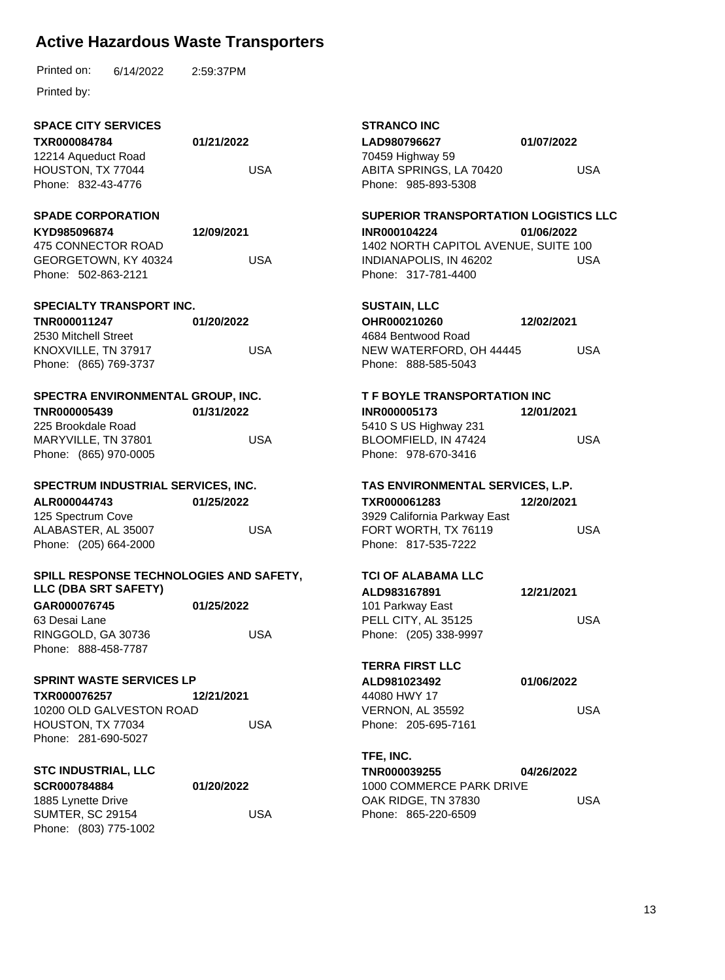|  | Printed on: | 6/14/2022 | 2:59:37PM |
|--|-------------|-----------|-----------|
|--|-------------|-----------|-----------|

| <b>SPACE CITY SERVICES</b><br>TXR000084784                      | 01/21/2022 | <b>STRANCO INC</b><br>LAD980796627                                 | 01/07/2022 |
|-----------------------------------------------------------------|------------|--------------------------------------------------------------------|------------|
| 12214 Aqueduct Road<br>HOUSTON, TX 77044<br>Phone: 832-43-4776  | <b>USA</b> | 70459 Highway 59<br>ABITA SPRINGS, LA 70420<br>Phone: 985-893-5308 | <b>USA</b> |
|                                                                 |            | <b>SUPERIOR TRANSPORTATION LOGISTICS LLC</b>                       |            |
| <b>SPADE CORPORATION</b><br>KYD985096874                        | 12/09/2021 | <b>INR000104224</b>                                                | 01/06/2022 |
| 475 CONNECTOR ROAD<br>GEORGETOWN, KY 40324                      | <b>USA</b> | 1402 NORTH CAPITOL AVENUE, SUITE 100<br>INDIANAPOLIS, IN 46202     | <b>USA</b> |
| Phone: 502-863-2121                                             |            | Phone: 317-781-4400                                                |            |
| <b>SPECIALTY TRANSPORT INC.</b>                                 |            | <b>SUSTAIN, LLC</b>                                                |            |
| TNR000011247                                                    | 01/20/2022 | OHR000210260                                                       | 12/02/2021 |
| 2530 Mitchell Street                                            |            | 4684 Bentwood Road                                                 |            |
| KNOXVILLE, TN 37917                                             | <b>USA</b> | NEW WATERFORD, OH 44445                                            | <b>USA</b> |
| Phone: (865) 769-3737                                           |            | Phone: 888-585-5043                                                |            |
| SPECTRA ENVIRONMENTAL GROUP, INC.                               |            | T F BOYLE TRANSPORTATION INC                                       |            |
| TNR000005439                                                    | 01/31/2022 | <b>INR000005173</b>                                                | 12/01/2021 |
| 225 Brookdale Road                                              |            | 5410 S US Highway 231                                              |            |
| MARYVILLE, TN 37801                                             | <b>USA</b> | BLOOMFIELD, IN 47424                                               | <b>USA</b> |
| Phone: (865) 970-0005                                           |            | Phone: 978-670-3416                                                |            |
| SPECTRUM INDUSTRIAL SERVICES, INC.                              |            | TAS ENVIRONMENTAL SERVICES, L.P.                                   |            |
| ALR000044743                                                    | 01/25/2022 | TXR000061283                                                       | 12/20/2021 |
| 125 Spectrum Cove                                               |            | 3929 California Parkway East                                       |            |
| ALABASTER, AL 35007                                             | <b>USA</b> | FORT WORTH, TX 76119                                               | <b>USA</b> |
| Phone: (205) 664-2000                                           |            | Phone: 817-535-7222                                                |            |
| SPILL RESPONSE TECHNOLOGIES AND SAFETY,<br>LLC (DBA SRT SAFETY) |            | <b>TCI OF ALABAMA LLC</b><br>ALD983167891                          |            |
| GAR000076745                                                    | 01/25/2022 | 101 Parkway East                                                   | 12/21/2021 |
| 63 Desai Lane                                                   |            | PELL CITY, AL 35125                                                | <b>USA</b> |
| RINGGOLD, GA 30736                                              | <b>USA</b> | Phone: (205) 338-9997                                              |            |
| Phone: 888-458-7787                                             |            |                                                                    |            |
|                                                                 |            | <b>TERRA FIRST LLC</b>                                             |            |
| <b>SPRINT WASTE SERVICES LP</b>                                 |            | ALD981023492                                                       | 01/06/2022 |
| TXR000076257                                                    | 12/21/2021 | 44080 HWY 17                                                       |            |
| 10200 OLD GALVESTON ROAD                                        |            | VERNON, AL 35592                                                   | <b>USA</b> |
| HOUSTON, TX 77034                                               | <b>USA</b> | Phone: 205-695-7161                                                |            |
| Phone: 281-690-5027                                             |            |                                                                    |            |
|                                                                 |            | TFE, INC.                                                          |            |
| <b>STC INDUSTRIAL, LLC</b>                                      |            | TNR000039255                                                       | 04/26/2022 |
| SCR000784884<br>1885 Lynette Drive                              | 01/20/2022 | 1000 COMMERCE PARK DRIVE<br>OAK RIDGE, TN 37830                    | <b>USA</b> |
| <b>SUMTER, SC 29154</b>                                         | <b>USA</b> | Phone: 865-220-6509                                                |            |
| Phone: (803) 775-1002                                           |            |                                                                    |            |
|                                                                 |            |                                                                    |            |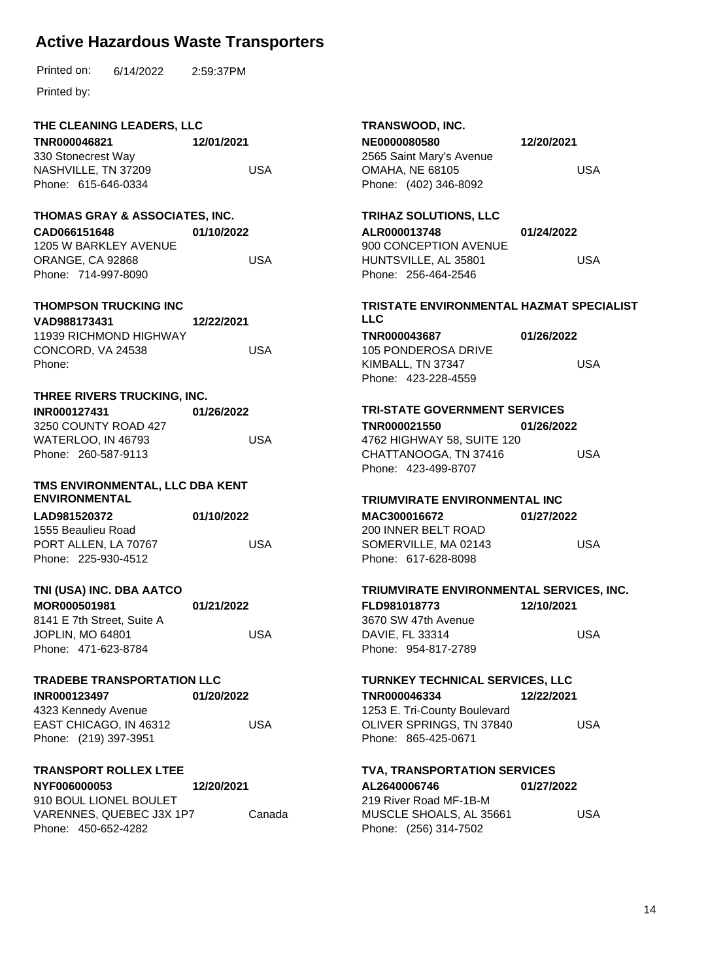6/14/2022 Printed on: 2:59:37PM

Printed by:

### **THE CLEANING LEADERS, LLC**

**TNR000046821** 330 Stonecrest Way NASHVILLE, TN 37209 Phone: 615-646-0334 **12/01/2021** USA

#### **THOMAS GRAY & ASSOCIATES, INC.**

**CAD066151648** 1205 W BARKLEY AVENUE ORANGE, CA 92868 Phone: 714-997-8090 **01/10/2022** USA

#### **THOMPSON TRUCKING INC**

| VAD988173431           | 12/22/2021 |
|------------------------|------------|
| 11939 RICHMOND HIGHWAY |            |
| CONCORD, VA 24538      | USA        |
| Phone:                 |            |

#### **THREE RIVERS TRUCKING, INC.**

| <b>INR000127431</b> |                           | 01/26/2022 |
|---------------------|---------------------------|------------|
|                     | 3250 COUNTY ROAD 427      |            |
|                     | <b>WATERLOO. IN 46793</b> | USA        |
|                     | Phone: 260-587-9113       |            |

#### **TMS ENVIRONMENTAL, LLC DBA KENT ENVIRONMENTAL**

| LAD981520372         | 01/10/2022 |
|----------------------|------------|
| 1555 Beaulieu Road   |            |
| PORT ALLEN, LA 70767 | USA        |
| Phone: 225-930-4512  |            |

#### **TNI (USA) INC. DBA AATCO**

| <b>MOR000501981</b>        | 01/21/2022 |
|----------------------------|------------|
| 8141 E 7th Street. Suite A |            |
| <b>JOPLIN. MO 64801</b>    | USA        |
| Phone: 471-623-8784        |            |

#### **TRADEBE TRANSPORTATION LLC**

**INR000123497** 4323 Kennedy Avenue **01/20/2022**

USA

EAST CHICAGO, IN 46312 Phone: (219) 397-3951

#### **TRANSPORT ROLLEX LTEE**

**NYF006000053** 910 BOUL LIONEL BOULET VARENNES, QUEBEC J3X 1P7 Phone: 450-652-4282 **12/20/2021** Canada

#### **TRANSWOOD, INC. NE0000080580**

| <b>NE0000080580</b>      |
|--------------------------|
| 2565 Saint Mary's Avenue |
| <b>OMAHA, NE 68105</b>   |
| Phone: (402) 346-8092    |

**12/20/2021**

USA

# **TRIHAZ SOLUTIONS, LLC**

| 01/24/2022 |
|------------|
|            |
| USA        |
|            |
|            |

#### **TRISTATE ENVIRONMENTAL HAZMAT SPECIALIST LLC**

**TNR000043687** 105 PONDEROSA DRIVE KIMBALL, TN 37347 Phone: 423-228-4559 **01/26/2022** USA

## **TRI-STATE GOVERNMENT SERVICES**

**TNR000021550** 4762 HIGHWAY 58, SUITE 120 CHATTANOOGA, TN 37416 Phone: 423-499-8707 **01/26/2022** USA

#### **TRIUMVIRATE ENVIRONMENTAL INC**

**MAC300016672** 200 INNER BELT ROAD SOMERVILLE, MA 02143 Phone: 617-628-8098 **01/27/2022** USA

#### **TRIUMVIRATE ENVIRONMENTAL SERVICES, INC.**

**FLD981018773** 3670 SW 47th Avenue DAVIE, FL 33314 Phone: 954-817-2789 **12/10/2021** USA

#### **TURNKEY TECHNICAL SERVICES, LLC**

**TNR000046334** 1253 E. Tri-County Boulevard OLIVER SPRINGS, TN 37840 Phone: 865-425-0671 **12/22/2021** USA

#### **TVA, TRANSPORTATION SERVICES**

**AL2640006746** 219 River Road MF-1B-M MUSCLE SHOALS, AL 35661 Phone: (256) 314-7502 **01/27/2022** USA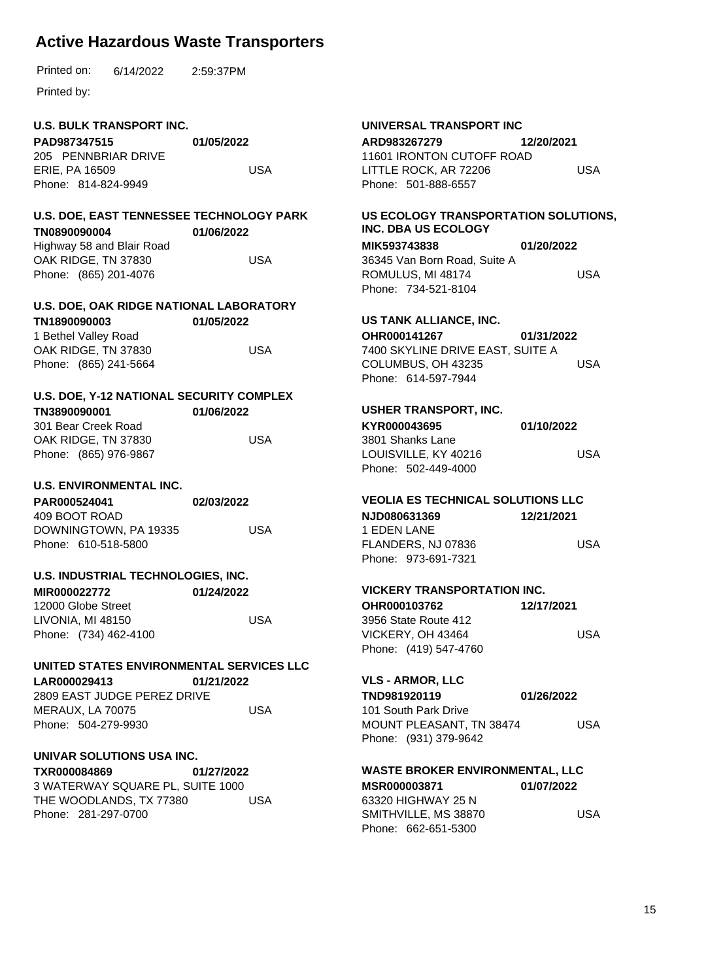Printed by:

#### **U.S. BULK TRANSPORT INC.**

**PAD987347515** 205 PENNBRIAR DRIVE ERIE, PA 16509 Phone: 814-824-9949 **01/05/2022** USA

#### **U.S. DOE, EAST TENNESSEE TECHNOLOGY PARK TN0890090004 01/06/2022**

Highway 58 and Blair Road OAK RIDGE, TN 37830 Phone: (865) 201-4076 USA

### **U.S. DOE, OAK RIDGE NATIONAL LABORATORY**

| TN1890090003          | 01/05/2022 |
|-----------------------|------------|
| 1 Bethel Valley Road  |            |
| OAK RIDGE, TN 37830   | USA        |
| Phone: (865) 241-5664 |            |

#### **U.S. DOE, Y-12 NATIONAL SECURITY COMPLEX TN3890090001 01/06/2022**

| .                     | $\sim$ |
|-----------------------|--------|
| 301 Bear Creek Road   |        |
| OAK RIDGE, TN 37830   | USA    |
| Phone: (865) 976-9867 |        |

#### **U.S. ENVIRONMENTAL INC.**

| PAR000524041          | 02/03/2022 |
|-----------------------|------------|
| 409 BOOT ROAD         |            |
| DOWNINGTOWN, PA 19335 | USA        |
| Phone: 610-518-5800   |            |

#### **U.S. INDUSTRIAL TECHNOLOGIES, INC.**

| MIR000022772          | 01/24/2022 |
|-----------------------|------------|
| 12000 Globe Street    |            |
| LIVONIA, MI 48150     | USA        |
| Phone: (734) 462-4100 |            |

#### **UNITED STATES ENVIRONMENTAL SERVICES LLC**

**LAR000029413** 2809 EAST JUDGE PEREZ DRIVE MERAUX, LA 70075 Phone: 504-279-9930 **01/21/2022** USA

#### **UNIVAR SOLUTIONS USA INC.**

**TXR000084869** 3 WATERWAY SQUARE PL, SUITE 1000 THE WOODLANDS, TX 77380 Phone: 281-297-0700 **01/27/2022** USA

# **UNIVERSAL TRANSPORT INC**

**ARD983267279** 11601 IRONTON CUTOFF ROAD LITTLE ROCK, AR 72206 Phone: 501-888-6557 **12/20/2021** USA

#### **US ECOLOGY TRANSPORTATION SOLUTIONS, INC. DBA US ECOLOGY**

**MIK593743838** 36345 Van Born Road, Suite A ROMULUS, MI 48174 Phone: 734-521-8104 **01/20/2022** USA

#### **US TANK ALLIANCE, INC.**

**OHR000141267** 7400 SKYLINE DRIVE EAST, SUITE A COLUMBUS, OH 43235 Phone: 614-597-7944 **01/31/2022** USA

#### **USHER TRANSPORT, INC.**

**KYR000043695** 3801 Shanks Lane LOUISVILLE, KY 40216 Phone: 502-449-4000 **01/10/2022** USA

#### **VEOLIA ES TECHNICAL SOLUTIONS LLC**

**NJD080631369** 1 EDEN LANE FLANDERS, NJ 07836 Phone: 973-691-7321 **12/21/2021** USA

#### **VICKERY TRANSPORTATION INC.**

| OHR000103762          | 12/17/2021 |
|-----------------------|------------|
| 3956 State Route 412  |            |
| VICKERY. OH 43464     | USA        |
| Phone: (419) 547-4760 |            |

#### **VLS - ARMOR, LLC**

**TND981920119** 101 South Park Drive MOUNT PLEASANT, TN 38474 Phone: (931) 379-9642 **01/26/2022** USA

#### **WASTE BROKER ENVIRONMENTAL, LLC**

**MSR000003871** 63320 HIGHWAY 25 N SMITHVILLE, MS 38870 Phone: 662-651-5300 **01/07/2022** USA